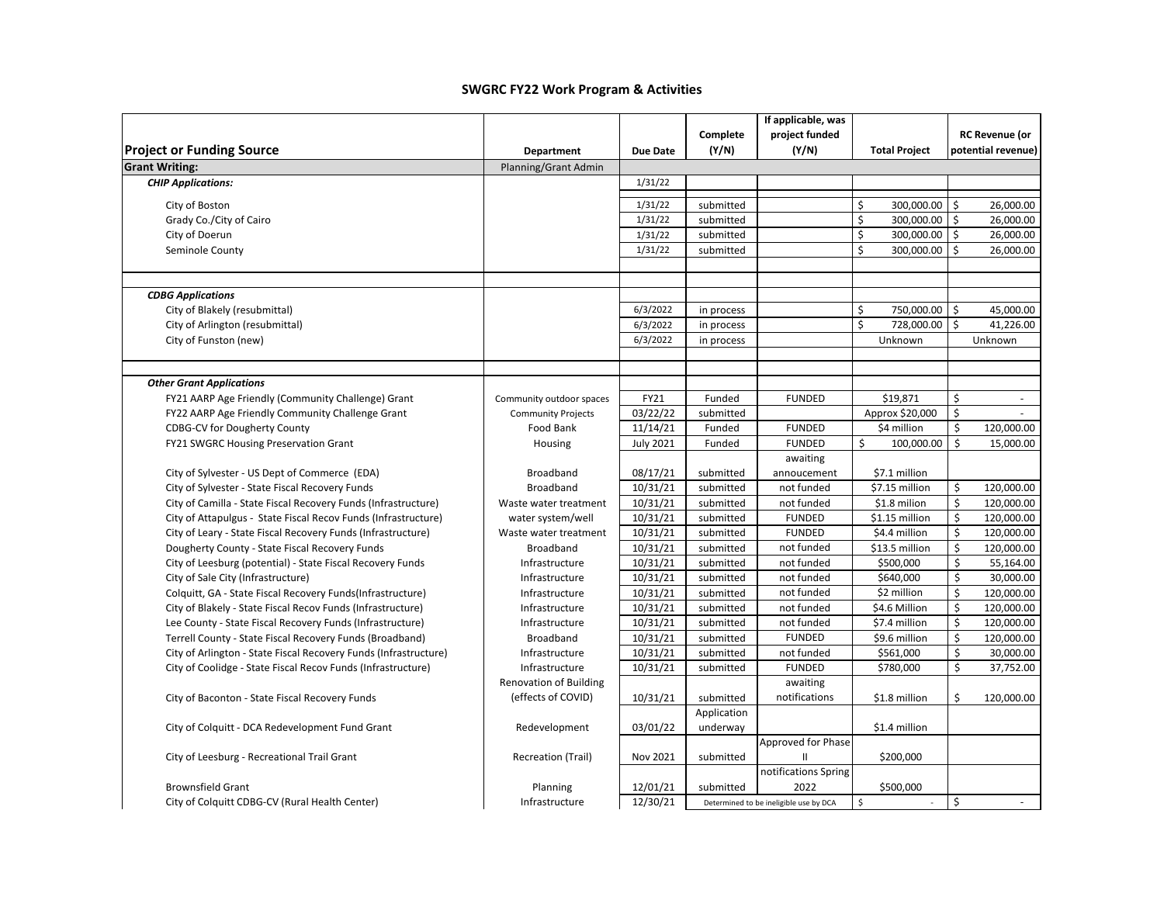|                                                                              |                               |                              |                  | If applicable, was                     |                                |              |                       |
|------------------------------------------------------------------------------|-------------------------------|------------------------------|------------------|----------------------------------------|--------------------------------|--------------|-----------------------|
|                                                                              |                               |                              | Complete         | project funded                         |                                |              | <b>RC Revenue (or</b> |
| <b>Project or Funding Source</b>                                             | <b>Department</b>             | <b>Due Date</b>              | (Y/N)            | (Y/N)                                  | <b>Total Project</b>           |              | potential revenue)    |
| <b>Grant Writing:</b>                                                        | Planning/Grant Admin          |                              |                  |                                        |                                |              |                       |
| <b>CHIP Applications:</b>                                                    |                               | 1/31/22                      |                  |                                        |                                |              |                       |
| City of Boston                                                               |                               | 1/31/22                      | submitted        |                                        | \$<br>300,000.00               | \$           | 26,000.00             |
| Grady Co./City of Cairo                                                      |                               | 1/31/22                      | submitted        |                                        | \$<br>300,000.00               | $\mathsf{S}$ | 26,000.00             |
| City of Doerun                                                               |                               | 1/31/22                      | submitted        |                                        | \$<br>300,000.00               | $\mathsf{S}$ | 26,000.00             |
| Seminole County                                                              |                               | 1/31/22                      | submitted        |                                        | \$<br>300,000.00               | Ś            | 26,000.00             |
|                                                                              |                               |                              |                  |                                        |                                |              |                       |
|                                                                              |                               |                              |                  |                                        |                                |              |                       |
| <b>CDBG Applications</b>                                                     |                               |                              |                  |                                        |                                |              |                       |
| City of Blakely (resubmittal)                                                |                               | 6/3/2022                     | in process       |                                        | \$<br>750,000.00               | \$           | 45,000.00             |
| City of Arlington (resubmittal)                                              |                               | 6/3/2022                     | in process       |                                        | \$<br>728,000.00               | Ś            | 41,226.00             |
| City of Funston (new)                                                        |                               | 6/3/2022                     | in process       |                                        | Unknown                        |              | Unknown               |
|                                                                              |                               |                              |                  |                                        |                                |              |                       |
|                                                                              |                               |                              |                  |                                        |                                |              |                       |
| <b>Other Grant Applications</b>                                              |                               |                              |                  |                                        |                                |              |                       |
| FY21 AARP Age Friendly (Community Challenge) Grant                           | Community outdoor spaces      | FY21                         | Funded           | <b>FUNDED</b>                          | \$19,871                       | \$           | $\sim$                |
| FY22 AARP Age Friendly Community Challenge Grant                             | <b>Community Projects</b>     | 03/22/22                     | submitted        | <b>FUNDED</b>                          | Approx \$20,000<br>\$4 million | \$<br>\$     | 120,000.00            |
| <b>CDBG-CV for Dougherty County</b><br>FY21 SWGRC Housing Preservation Grant | Food Bank                     | 11/14/21<br><b>July 2021</b> | Funded<br>Funded | <b>FUNDED</b>                          | \$<br>100,000.00               | \$           | 15,000.00             |
|                                                                              | Housing                       |                              |                  | awaiting                               |                                |              |                       |
| City of Sylvester - US Dept of Commerce (EDA)                                | Broadband                     | 08/17/21                     | submitted        | annoucement                            | \$7.1 million                  |              |                       |
| City of Sylvester - State Fiscal Recovery Funds                              | Broadband                     | 10/31/21                     | submitted        | not funded                             | \$7.15 million                 | \$           | 120,000.00            |
| City of Camilla - State Fiscal Recovery Funds (Infrastructure)               | Waste water treatment         | 10/31/21                     | submitted        | not funded                             | \$1.8 milion                   | \$           | 120,000.00            |
| City of Attapulgus - State Fiscal Recov Funds (Infrastructure)               | water system/well             | 10/31/21                     | submitted        | <b>FUNDED</b>                          | \$1.15 million                 | \$           | 120,000.00            |
| City of Leary - State Fiscal Recovery Funds (Infrastructure)                 | Waste water treatment         | 10/31/21                     | submitted        | <b>FUNDED</b>                          | \$4.4 million                  | \$           | 120,000.00            |
| Dougherty County - State Fiscal Recovery Funds                               | Broadband                     | 10/31/21                     | submitted        | not funded                             | \$13.5 million                 | \$           | 120,000.00            |
| City of Leesburg (potential) - State Fiscal Recovery Funds                   | Infrastructure                | 10/31/21                     | submitted        | not funded                             | \$500,000                      | \$           | 55,164.00             |
| City of Sale City (Infrastructure)                                           | Infrastructure                | 10/31/21                     | submitted        | not funded                             | \$640,000                      | Ś.           | 30,000.00             |
| Colquitt, GA - State Fiscal Recovery Funds(Infrastructure)                   | Infrastructure                | 10/31/21                     | submitted        | not funded                             | \$2 million                    | \$           | 120,000.00            |
| City of Blakely - State Fiscal Recov Funds (Infrastructure)                  | Infrastructure                | 10/31/21                     | submitted        | not funded                             | \$4.6 Million                  | \$           | 120,000.00            |
| Lee County - State Fiscal Recovery Funds (Infrastructure)                    | Infrastructure                | 10/31/21                     | submitted        | not funded                             | \$7.4 million                  | \$           | 120,000.00            |
| Terrell County - State Fiscal Recovery Funds (Broadband)                     | Broadband                     | 10/31/21                     | submitted        | <b>FUNDED</b>                          | \$9.6 million                  | \$           | 120,000.00            |
| City of Arlington - State Fiscal Recovery Funds (Infrastructure)             | Infrastructure                | 10/31/21                     | submitted        | not funded                             | \$561,000                      | \$           | 30,000.00             |
| City of Coolidge - State Fiscal Recov Funds (Infrastructure)                 | Infrastructure                | 10/31/21                     | submitted        | <b>FUNDED</b>                          | \$780,000                      | \$           | 37,752.00             |
|                                                                              | <b>Renovation of Building</b> |                              |                  | awaiting                               |                                |              |                       |
| City of Baconton - State Fiscal Recovery Funds                               | (effects of COVID)            | 10/31/21                     | submitted        | notifications                          | \$1.8 million                  | \$           | 120,000.00            |
|                                                                              |                               |                              | Application      |                                        |                                |              |                       |
| City of Colquitt - DCA Redevelopment Fund Grant                              | Redevelopment                 | 03/01/22                     | underway         |                                        | \$1.4 million                  |              |                       |
|                                                                              |                               |                              |                  | Approved for Phase                     |                                |              |                       |
| City of Leesburg - Recreational Trail Grant                                  | Recreation (Trail)            | Nov 2021                     | submitted        | Ш                                      | \$200,000                      |              |                       |
|                                                                              |                               |                              |                  | notifications Spring                   |                                |              |                       |
| <b>Brownsfield Grant</b>                                                     | Planning                      | 12/01/21                     | submitted        | 2022                                   | \$500,000                      |              |                       |
| City of Colquitt CDBG-CV (Rural Health Center)                               | Infrastructure                | 12/30/21                     |                  | Determined to be ineligible use by DCA | \$<br>$\sim$                   | \$           | $\omega$              |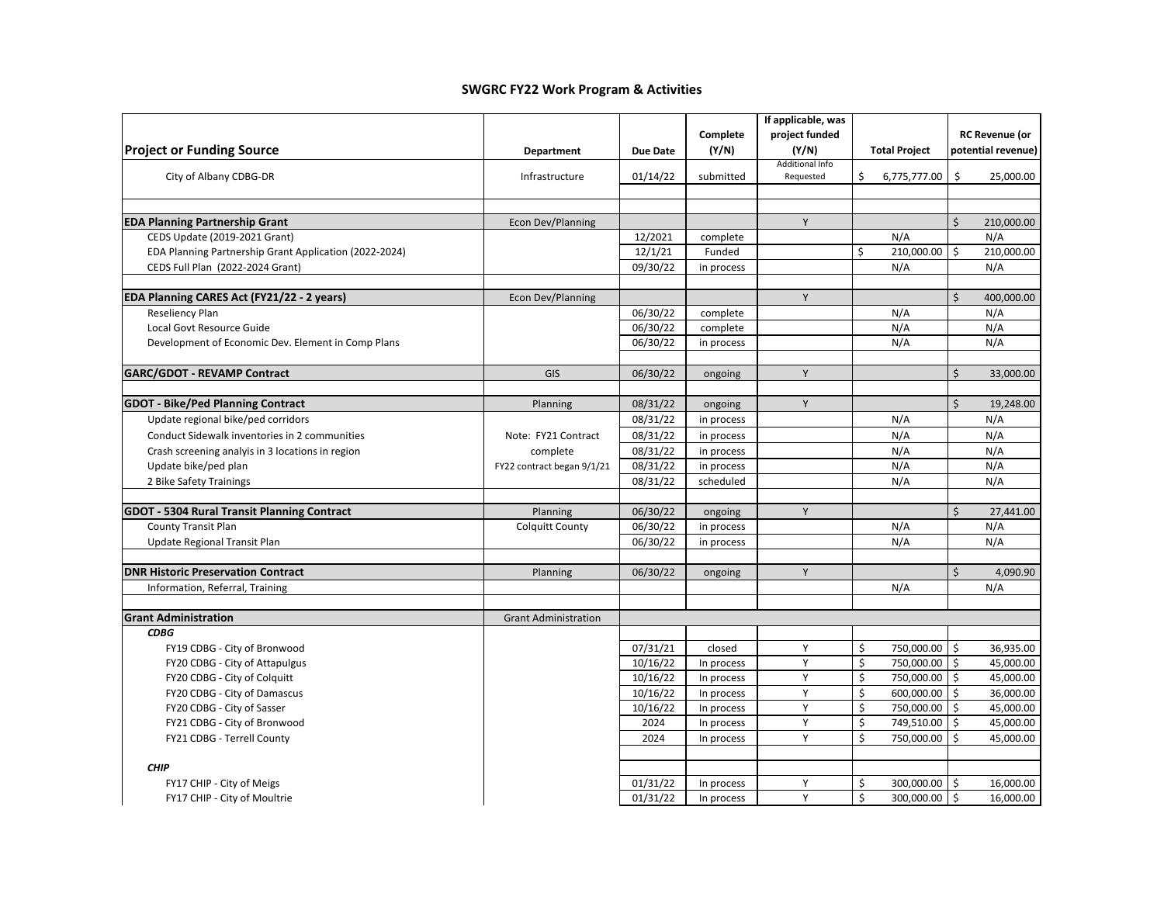| project funded<br><b>RC Revenue (or</b><br>Complete<br><b>Project or Funding Source</b><br>(Y/N)<br>(Y/N)<br>potential revenue)<br><b>Total Project</b><br><b>Department</b><br><b>Due Date</b><br>Additional Info<br>\$<br>City of Albany CDBG-DR<br>01/14/22<br>\$<br>25,000.00<br>Infrastructure<br>submitted<br>Requested<br>6,775,777.00<br>Y<br>Ś<br><b>EDA Planning Partnership Grant</b><br>Econ Dev/Planning<br>210,000.00<br>N/A<br>CEDS Update (2019-2021 Grant)<br>12/2021<br>N/A<br>complete<br>12/1/21<br>Funded<br>\$<br>210,000.00<br>\$<br>210,000.00<br>EDA Planning Partnership Grant Application (2022-2024)<br>CEDS Full Plan (2022-2024 Grant)<br>09/30/22<br>N/A<br>N/A<br>in process<br>Ś<br>EDA Planning CARES Act (FY21/22 - 2 years)<br>Econ Dev/Planning<br>Y<br>400,000.00<br>Reseliency Plan<br>06/30/22<br>N/A<br>N/A<br>complete<br>N/A<br>N/A<br>Local Govt Resource Guide<br>06/30/22<br>complete<br>N/A<br>06/30/22<br>N/A<br>Development of Economic Dev. Element in Comp Plans<br>in process<br>Ś.<br><b>GARC/GDOT - REVAMP Contract</b><br>Y<br>GIS<br>06/30/22<br>33,000.00<br>ongoing<br>\$<br><b>GDOT - Bike/Ped Planning Contract</b><br>Y<br>08/31/22<br>19,248.00<br>Planning<br>ongoing<br>Update regional bike/ped corridors<br>08/31/22<br>N/A<br>N/A<br>in process |
|--------------------------------------------------------------------------------------------------------------------------------------------------------------------------------------------------------------------------------------------------------------------------------------------------------------------------------------------------------------------------------------------------------------------------------------------------------------------------------------------------------------------------------------------------------------------------------------------------------------------------------------------------------------------------------------------------------------------------------------------------------------------------------------------------------------------------------------------------------------------------------------------------------------------------------------------------------------------------------------------------------------------------------------------------------------------------------------------------------------------------------------------------------------------------------------------------------------------------------------------------------------------------------------------------------------------|
|                                                                                                                                                                                                                                                                                                                                                                                                                                                                                                                                                                                                                                                                                                                                                                                                                                                                                                                                                                                                                                                                                                                                                                                                                                                                                                                    |
|                                                                                                                                                                                                                                                                                                                                                                                                                                                                                                                                                                                                                                                                                                                                                                                                                                                                                                                                                                                                                                                                                                                                                                                                                                                                                                                    |
|                                                                                                                                                                                                                                                                                                                                                                                                                                                                                                                                                                                                                                                                                                                                                                                                                                                                                                                                                                                                                                                                                                                                                                                                                                                                                                                    |
|                                                                                                                                                                                                                                                                                                                                                                                                                                                                                                                                                                                                                                                                                                                                                                                                                                                                                                                                                                                                                                                                                                                                                                                                                                                                                                                    |
|                                                                                                                                                                                                                                                                                                                                                                                                                                                                                                                                                                                                                                                                                                                                                                                                                                                                                                                                                                                                                                                                                                                                                                                                                                                                                                                    |
|                                                                                                                                                                                                                                                                                                                                                                                                                                                                                                                                                                                                                                                                                                                                                                                                                                                                                                                                                                                                                                                                                                                                                                                                                                                                                                                    |
|                                                                                                                                                                                                                                                                                                                                                                                                                                                                                                                                                                                                                                                                                                                                                                                                                                                                                                                                                                                                                                                                                                                                                                                                                                                                                                                    |
|                                                                                                                                                                                                                                                                                                                                                                                                                                                                                                                                                                                                                                                                                                                                                                                                                                                                                                                                                                                                                                                                                                                                                                                                                                                                                                                    |
|                                                                                                                                                                                                                                                                                                                                                                                                                                                                                                                                                                                                                                                                                                                                                                                                                                                                                                                                                                                                                                                                                                                                                                                                                                                                                                                    |
|                                                                                                                                                                                                                                                                                                                                                                                                                                                                                                                                                                                                                                                                                                                                                                                                                                                                                                                                                                                                                                                                                                                                                                                                                                                                                                                    |
|                                                                                                                                                                                                                                                                                                                                                                                                                                                                                                                                                                                                                                                                                                                                                                                                                                                                                                                                                                                                                                                                                                                                                                                                                                                                                                                    |
|                                                                                                                                                                                                                                                                                                                                                                                                                                                                                                                                                                                                                                                                                                                                                                                                                                                                                                                                                                                                                                                                                                                                                                                                                                                                                                                    |
|                                                                                                                                                                                                                                                                                                                                                                                                                                                                                                                                                                                                                                                                                                                                                                                                                                                                                                                                                                                                                                                                                                                                                                                                                                                                                                                    |
|                                                                                                                                                                                                                                                                                                                                                                                                                                                                                                                                                                                                                                                                                                                                                                                                                                                                                                                                                                                                                                                                                                                                                                                                                                                                                                                    |
|                                                                                                                                                                                                                                                                                                                                                                                                                                                                                                                                                                                                                                                                                                                                                                                                                                                                                                                                                                                                                                                                                                                                                                                                                                                                                                                    |
|                                                                                                                                                                                                                                                                                                                                                                                                                                                                                                                                                                                                                                                                                                                                                                                                                                                                                                                                                                                                                                                                                                                                                                                                                                                                                                                    |
|                                                                                                                                                                                                                                                                                                                                                                                                                                                                                                                                                                                                                                                                                                                                                                                                                                                                                                                                                                                                                                                                                                                                                                                                                                                                                                                    |
|                                                                                                                                                                                                                                                                                                                                                                                                                                                                                                                                                                                                                                                                                                                                                                                                                                                                                                                                                                                                                                                                                                                                                                                                                                                                                                                    |
|                                                                                                                                                                                                                                                                                                                                                                                                                                                                                                                                                                                                                                                                                                                                                                                                                                                                                                                                                                                                                                                                                                                                                                                                                                                                                                                    |
| N/A<br>08/31/22<br>N/A<br>Conduct Sidewalk inventories in 2 communities<br>Note: FY21 Contract<br>in process                                                                                                                                                                                                                                                                                                                                                                                                                                                                                                                                                                                                                                                                                                                                                                                                                                                                                                                                                                                                                                                                                                                                                                                                       |
| N/A<br>08/31/22<br>N/A<br>Crash screening analyis in 3 locations in region<br>complete<br>in process                                                                                                                                                                                                                                                                                                                                                                                                                                                                                                                                                                                                                                                                                                                                                                                                                                                                                                                                                                                                                                                                                                                                                                                                               |
| 08/31/22<br>N/A<br>N/A<br>Update bike/ped plan<br>FY22 contract began 9/1/21<br>in process                                                                                                                                                                                                                                                                                                                                                                                                                                                                                                                                                                                                                                                                                                                                                                                                                                                                                                                                                                                                                                                                                                                                                                                                                         |
| N/A<br>N/A<br>2 Bike Safety Trainings<br>08/31/22<br>scheduled                                                                                                                                                                                                                                                                                                                                                                                                                                                                                                                                                                                                                                                                                                                                                                                                                                                                                                                                                                                                                                                                                                                                                                                                                                                     |
|                                                                                                                                                                                                                                                                                                                                                                                                                                                                                                                                                                                                                                                                                                                                                                                                                                                                                                                                                                                                                                                                                                                                                                                                                                                                                                                    |
| $\mathsf{\dot{S}}$<br><b>GDOT - 5304 Rural Transit Planning Contract</b><br>06/30/22<br>Y<br>27,441.00<br>Planning<br>ongoing                                                                                                                                                                                                                                                                                                                                                                                                                                                                                                                                                                                                                                                                                                                                                                                                                                                                                                                                                                                                                                                                                                                                                                                      |
| N/A<br><b>County Transit Plan</b><br>06/30/22<br>N/A<br><b>Colquitt County</b><br>in process                                                                                                                                                                                                                                                                                                                                                                                                                                                                                                                                                                                                                                                                                                                                                                                                                                                                                                                                                                                                                                                                                                                                                                                                                       |
| N/A<br>N/A<br>Update Regional Transit Plan<br>06/30/22<br>in process                                                                                                                                                                                                                                                                                                                                                                                                                                                                                                                                                                                                                                                                                                                                                                                                                                                                                                                                                                                                                                                                                                                                                                                                                                               |
|                                                                                                                                                                                                                                                                                                                                                                                                                                                                                                                                                                                                                                                                                                                                                                                                                                                                                                                                                                                                                                                                                                                                                                                                                                                                                                                    |
| $\mathsf{\dot{S}}$<br><b>DNR Historic Preservation Contract</b><br>06/30/22<br>Y<br>4,090.90<br>Planning<br>ongoing                                                                                                                                                                                                                                                                                                                                                                                                                                                                                                                                                                                                                                                                                                                                                                                                                                                                                                                                                                                                                                                                                                                                                                                                |
| N/A<br>Information, Referral, Training<br>N/A                                                                                                                                                                                                                                                                                                                                                                                                                                                                                                                                                                                                                                                                                                                                                                                                                                                                                                                                                                                                                                                                                                                                                                                                                                                                      |
|                                                                                                                                                                                                                                                                                                                                                                                                                                                                                                                                                                                                                                                                                                                                                                                                                                                                                                                                                                                                                                                                                                                                                                                                                                                                                                                    |
| <b>Grant Administration</b><br><b>Grant Administration</b><br><b>CDBG</b>                                                                                                                                                                                                                                                                                                                                                                                                                                                                                                                                                                                                                                                                                                                                                                                                                                                                                                                                                                                                                                                                                                                                                                                                                                          |
| \$<br>\$<br>07/31/21<br>Y<br>750,000.00<br>36,935.00<br>FY19 CDBG - City of Bronwood<br>closed                                                                                                                                                                                                                                                                                                                                                                                                                                                                                                                                                                                                                                                                                                                                                                                                                                                                                                                                                                                                                                                                                                                                                                                                                     |
| 10/16/22<br>Y<br>\$<br>750,000.00<br>\$<br>45,000.00<br>FY20 CDBG - City of Attapulgus<br>In process                                                                                                                                                                                                                                                                                                                                                                                                                                                                                                                                                                                                                                                                                                                                                                                                                                                                                                                                                                                                                                                                                                                                                                                                               |
| Y<br>\$<br>FY20 CDBG - City of Colquitt<br>10/16/22<br>750,000.00<br>\$<br>45,000.00<br>In process                                                                                                                                                                                                                                                                                                                                                                                                                                                                                                                                                                                                                                                                                                                                                                                                                                                                                                                                                                                                                                                                                                                                                                                                                 |
| Y<br>\$<br>10/16/22<br>600,000.00<br>Ś.<br>36,000.00<br>FY20 CDBG - City of Damascus<br>In process                                                                                                                                                                                                                                                                                                                                                                                                                                                                                                                                                                                                                                                                                                                                                                                                                                                                                                                                                                                                                                                                                                                                                                                                                 |
| Υ<br>\$<br>750,000.00<br>\$<br>45,000.00<br>FY20 CDBG - City of Sasser<br>10/16/22<br>In process                                                                                                                                                                                                                                                                                                                                                                                                                                                                                                                                                                                                                                                                                                                                                                                                                                                                                                                                                                                                                                                                                                                                                                                                                   |
| Y<br>\$<br>FY21 CDBG - City of Bronwood<br>2024<br>749,510.00<br>Ś.<br>45,000.00<br>In process                                                                                                                                                                                                                                                                                                                                                                                                                                                                                                                                                                                                                                                                                                                                                                                                                                                                                                                                                                                                                                                                                                                                                                                                                     |
| \$<br>Y<br>750,000.00<br>45,000.00<br>FY21 CDBG - Terrell County<br>2024<br>Ś<br>In process                                                                                                                                                                                                                                                                                                                                                                                                                                                                                                                                                                                                                                                                                                                                                                                                                                                                                                                                                                                                                                                                                                                                                                                                                        |
|                                                                                                                                                                                                                                                                                                                                                                                                                                                                                                                                                                                                                                                                                                                                                                                                                                                                                                                                                                                                                                                                                                                                                                                                                                                                                                                    |
| <b>CHIP</b>                                                                                                                                                                                                                                                                                                                                                                                                                                                                                                                                                                                                                                                                                                                                                                                                                                                                                                                                                                                                                                                                                                                                                                                                                                                                                                        |
| 01/31/22<br>Υ<br>\$<br>300,000.00<br>\$<br>16,000.00<br>FY17 CHIP - City of Meigs<br>In process                                                                                                                                                                                                                                                                                                                                                                                                                                                                                                                                                                                                                                                                                                                                                                                                                                                                                                                                                                                                                                                                                                                                                                                                                    |
| Y<br>\$<br>300,000.00<br>\$<br>16,000.00<br>01/31/22<br>FY17 CHIP - City of Moultrie<br>In process                                                                                                                                                                                                                                                                                                                                                                                                                                                                                                                                                                                                                                                                                                                                                                                                                                                                                                                                                                                                                                                                                                                                                                                                                 |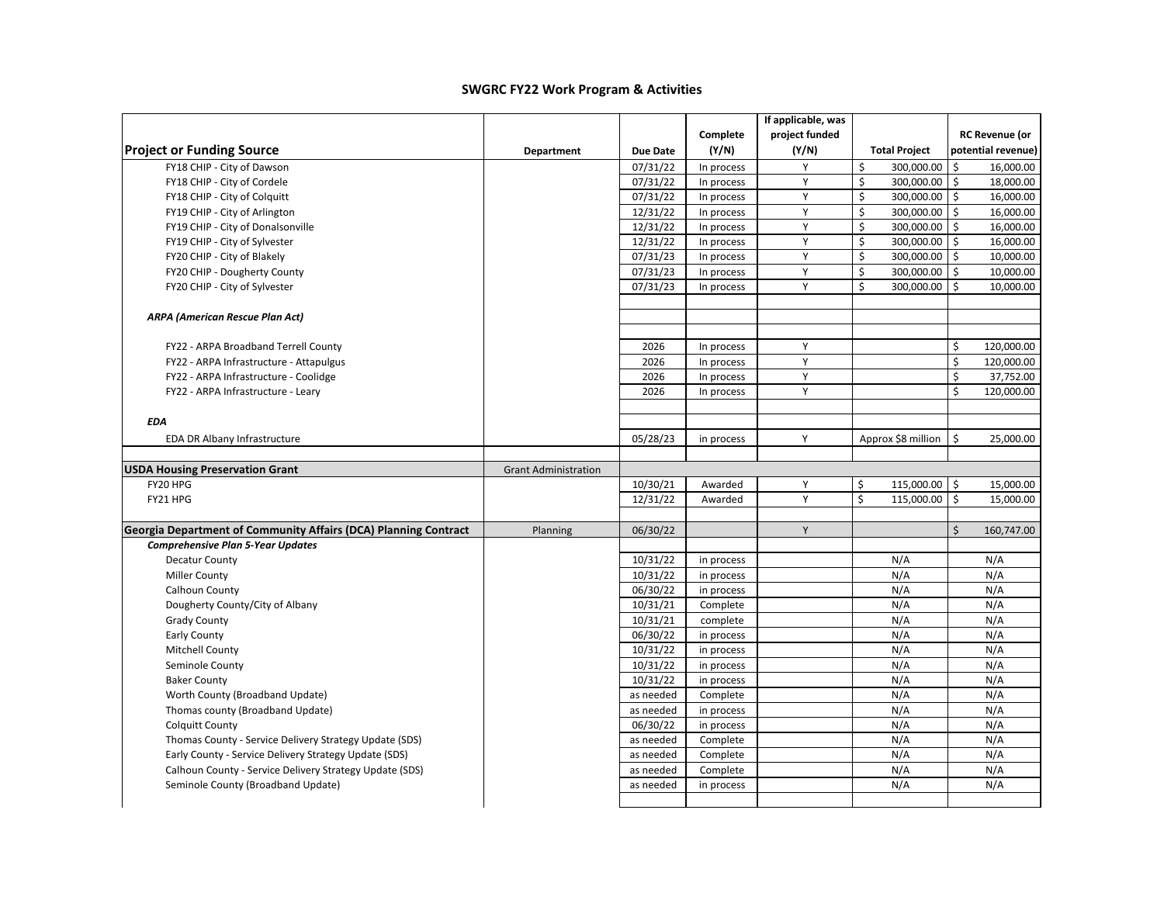|                                                                 |                             |                 |            | If applicable, was |                       |                           |
|-----------------------------------------------------------------|-----------------------------|-----------------|------------|--------------------|-----------------------|---------------------------|
|                                                                 |                             |                 | Complete   | project funded     |                       | <b>RC Revenue (or</b>     |
| <b>Project or Funding Source</b>                                | Department                  | <b>Due Date</b> | (Y/N)      | (Y/N)              | <b>Total Project</b>  | potential revenue)        |
| FY18 CHIP - City of Dawson                                      |                             | 07/31/22        | In process | Y                  | \$<br>300,000.00      | \$<br>16,000.00           |
| FY18 CHIP - City of Cordele                                     |                             | 07/31/22        | In process | Υ                  | \$<br>300,000.00 \$   | 18,000.00                 |
| FY18 CHIP - City of Colquitt                                    |                             | 07/31/22        | In process | Y                  | \$<br>300,000.00 \$   | 16,000.00                 |
| FY19 CHIP - City of Arlington                                   |                             | 12/31/22        | In process | Υ                  | \$<br>300,000.00      | Ŝ.<br>16,000.00           |
| FY19 CHIP - City of Donalsonville                               |                             | 12/31/22        | In process | Υ                  | \$<br>300,000.00      | Ŝ.<br>16,000.00           |
| FY19 CHIP - City of Sylvester                                   |                             | 12/31/22        | In process | Y                  | \$<br>300,000.00      | \$<br>16,000.00           |
| FY20 CHIP - City of Blakely                                     |                             | 07/31/23        | In process | Y                  | \$<br>$300,000.00$ \$ | 10,000.00                 |
| FY20 CHIP - Dougherty County                                    |                             | 07/31/23        | In process | Y                  | \$<br>300,000.00 \$   | 10,000.00                 |
| FY20 CHIP - City of Sylvester                                   |                             | 07/31/23        | In process | Y                  | Ś<br>300,000.00       | Ŝ.<br>10,000.00           |
| <b>ARPA (American Rescue Plan Act)</b>                          |                             |                 |            |                    |                       |                           |
| FY22 - ARPA Broadband Terrell County                            |                             | 2026            | In process | Υ                  |                       | \$<br>120,000.00          |
| FY22 - ARPA Infrastructure - Attapulgus                         |                             | 2026            | In process | Υ                  |                       | \$<br>120,000.00          |
| FY22 - ARPA Infrastructure - Coolidge                           |                             | 2026            | In process | Υ                  |                       | \$<br>37,752.00           |
| FY22 - ARPA Infrastructure - Leary                              |                             | 2026            | In process | Υ                  |                       | \$<br>120,000.00          |
| <b>EDA</b>                                                      |                             |                 |            |                    |                       |                           |
| EDA DR Albany Infrastructure                                    |                             | 05/28/23        | in process | Y                  | Approx \$8 million    | $\mathsf{S}$<br>25,000.00 |
| <b>USDA Housing Preservation Grant</b>                          | <b>Grant Administration</b> |                 |            |                    |                       |                           |
| FY20 HPG                                                        |                             | 10/30/21        | Awarded    | Y                  | 115,000.00 \$<br>\$   | 15,000.00                 |
| FY21 HPG                                                        |                             | 12/31/22        | Awarded    | Υ                  | Ś<br>115,000.00 \$    | 15,000.00                 |
| Georgia Department of Community Affairs (DCA) Planning Contract | Planning                    | 06/30/22        |            | Y                  |                       | \$<br>160,747.00          |
| <b>Comprehensive Plan 5-Year Updates</b>                        |                             |                 |            |                    |                       |                           |
| <b>Decatur County</b>                                           |                             | 10/31/22        | in process |                    | N/A                   | N/A                       |
| <b>Miller County</b>                                            |                             | 10/31/22        | in process |                    | N/A                   | N/A                       |
| Calhoun County                                                  |                             | 06/30/22        | in process |                    | N/A                   | N/A                       |
| Dougherty County/City of Albany                                 |                             | 10/31/21        | Complete   |                    | N/A                   | N/A                       |
| <b>Grady County</b>                                             |                             | 10/31/21        | complete   |                    | N/A                   | N/A                       |
| Early County                                                    |                             | 06/30/22        | in process |                    | N/A                   | N/A                       |
| Mitchell County                                                 |                             | 10/31/22        | in process |                    | N/A                   | N/A                       |
| Seminole County                                                 |                             | 10/31/22        | in process |                    | N/A                   | N/A                       |
| <b>Baker County</b>                                             |                             | 10/31/22        | in process |                    | N/A                   | N/A                       |
| Worth County (Broadband Update)                                 |                             | as needed       | Complete   |                    | N/A                   | N/A                       |
| Thomas county (Broadband Update)                                |                             | as needed       | in process |                    | N/A                   | N/A                       |
| <b>Colquitt County</b>                                          |                             | 06/30/22        | in process |                    | N/A                   | N/A                       |
| Thomas County - Service Delivery Strategy Update (SDS)          |                             | as needed       | Complete   |                    | N/A                   | N/A                       |
| Early County - Service Delivery Strategy Update (SDS)           |                             | as needed       | Complete   |                    | N/A                   | N/A                       |
| Calhoun County - Service Delivery Strategy Update (SDS)         |                             | as needed       | Complete   |                    | N/A                   | N/A                       |
| Seminole County (Broadband Update)                              |                             | as needed       | in process |                    | N/A                   | N/A                       |
|                                                                 |                             |                 |            |                    |                       |                           |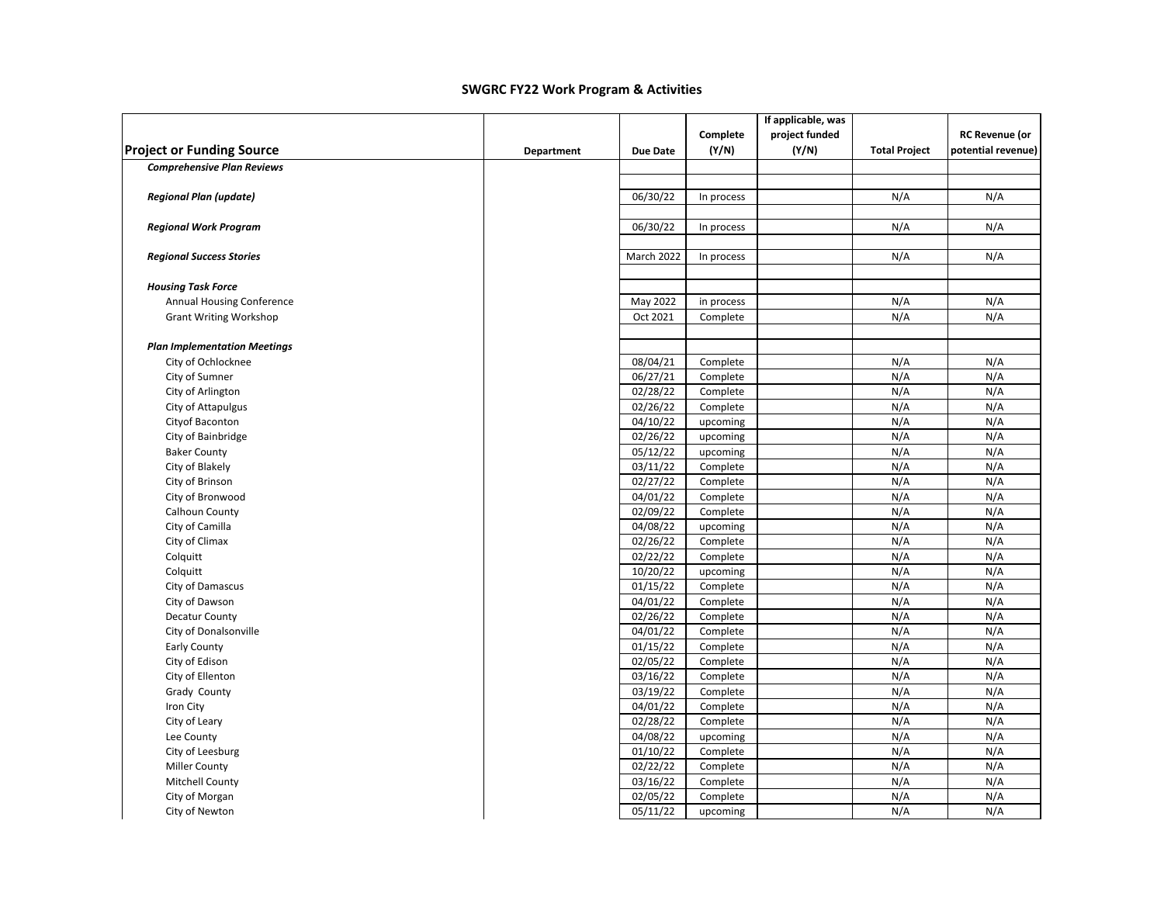|                                     |            |            |            | If applicable, was |                      |                       |
|-------------------------------------|------------|------------|------------|--------------------|----------------------|-----------------------|
|                                     |            |            | Complete   | project funded     |                      | <b>RC Revenue (or</b> |
| <b>Project or Funding Source</b>    | Department | Due Date   | (Y/N)      | (Y/N)              | <b>Total Project</b> | potential revenue)    |
| <b>Comprehensive Plan Reviews</b>   |            |            |            |                    |                      |                       |
|                                     |            | 06/30/22   |            |                    | N/A                  | N/A                   |
| <b>Regional Plan (update)</b>       |            |            | In process |                    |                      |                       |
| <b>Regional Work Program</b>        |            | 06/30/22   | In process |                    | N/A                  | N/A                   |
|                                     |            |            |            |                    |                      |                       |
| <b>Regional Success Stories</b>     |            | March 2022 | In process |                    | N/A                  | N/A                   |
| <b>Housing Task Force</b>           |            |            |            |                    |                      |                       |
| <b>Annual Housing Conference</b>    |            | May 2022   | in process |                    | N/A                  | N/A                   |
| <b>Grant Writing Workshop</b>       |            | Oct 2021   | Complete   |                    | N/A                  | N/A                   |
| <b>Plan Implementation Meetings</b> |            |            |            |                    |                      |                       |
| City of Ochlocknee                  |            | 08/04/21   | Complete   |                    | N/A                  | N/A                   |
| City of Sumner                      |            | 06/27/21   | Complete   |                    | N/A                  | N/A                   |
| City of Arlington                   |            | 02/28/22   | Complete   |                    | N/A                  | N/A                   |
| City of Attapulgus                  |            | 02/26/22   | Complete   |                    | N/A                  | N/A                   |
| Cityof Baconton                     |            | 04/10/22   | upcoming   |                    | N/A                  | N/A                   |
| City of Bainbridge                  |            | 02/26/22   | upcoming   |                    | N/A                  | N/A                   |
| <b>Baker County</b>                 |            | 05/12/22   | upcoming   |                    | N/A                  | N/A                   |
| City of Blakely                     |            | 03/11/22   | Complete   |                    | N/A                  | N/A                   |
| City of Brinson                     |            | 02/27/22   | Complete   |                    | N/A                  | N/A                   |
| City of Bronwood                    |            | 04/01/22   | Complete   |                    | N/A                  | N/A                   |
| Calhoun County                      |            | 02/09/22   | Complete   |                    | N/A                  | N/A                   |
| City of Camilla                     |            | 04/08/22   | upcoming   |                    | N/A                  | N/A                   |
| City of Climax                      |            | 02/26/22   | Complete   |                    | N/A                  | N/A                   |
| Colquitt                            |            | 02/22/22   | Complete   |                    | N/A                  | N/A                   |
| Colquitt                            |            | 10/20/22   | upcoming   |                    | N/A                  | N/A                   |
| City of Damascus                    |            | 01/15/22   | Complete   |                    | N/A                  | N/A                   |
| City of Dawson                      |            | 04/01/22   | Complete   |                    | N/A                  | N/A                   |
| Decatur County                      |            | 02/26/22   | Complete   |                    | N/A                  | N/A                   |
| City of Donalsonville               |            | 04/01/22   | Complete   |                    | N/A                  | N/A                   |
| Early County                        |            | 01/15/22   | Complete   |                    | N/A                  | N/A                   |
| City of Edison                      |            | 02/05/22   | Complete   |                    | N/A                  | N/A                   |
| City of Ellenton                    |            | 03/16/22   | Complete   |                    | N/A                  | N/A                   |
| Grady County                        |            | 03/19/22   | Complete   |                    | N/A                  | N/A                   |
| Iron City                           |            | 04/01/22   | Complete   |                    | N/A                  | N/A                   |
| City of Leary                       |            | 02/28/22   | Complete   |                    | N/A                  | N/A                   |
| Lee County                          |            | 04/08/22   | upcoming   |                    | N/A                  | N/A                   |
| City of Leesburg                    |            | 01/10/22   | Complete   |                    | N/A                  | N/A                   |
| <b>Miller County</b>                |            | 02/22/22   | Complete   |                    | N/A                  | N/A                   |
| Mitchell County                     |            | 03/16/22   | Complete   |                    | N/A                  | N/A                   |
| City of Morgan                      |            | 02/05/22   | Complete   |                    | N/A                  | N/A                   |
| City of Newton                      |            | 05/11/22   | upcoming   |                    | N/A                  | N/A                   |
|                                     |            |            |            |                    |                      |                       |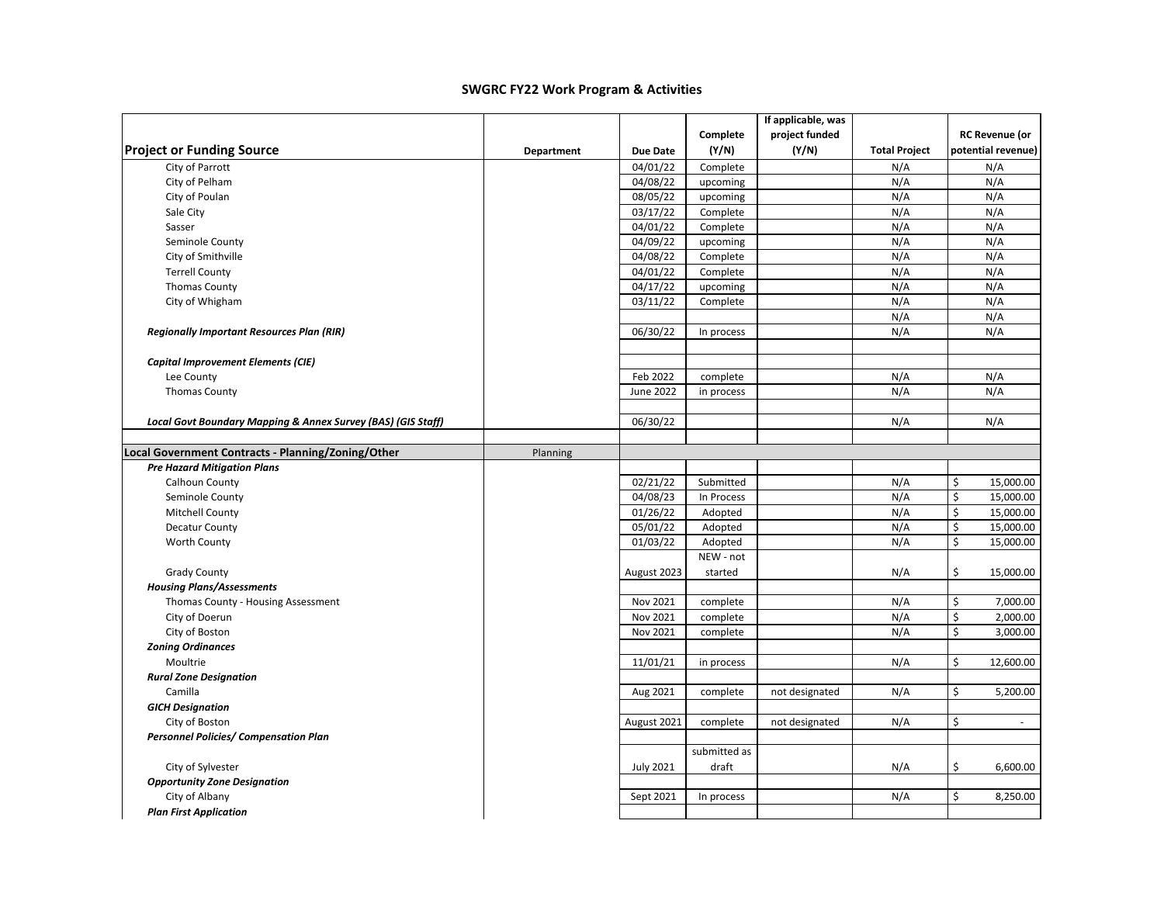|                                                              |            |                  |              | If applicable, was |                      |                       |
|--------------------------------------------------------------|------------|------------------|--------------|--------------------|----------------------|-----------------------|
|                                                              |            |                  | Complete     | project funded     |                      | <b>RC Revenue (or</b> |
| <b>Project or Funding Source</b>                             | Department | <b>Due Date</b>  | (Y/N)        | (Y/N)              | <b>Total Project</b> | potential revenue)    |
| City of Parrott                                              |            | 04/01/22         | Complete     |                    | N/A                  | N/A                   |
| City of Pelham                                               |            | 04/08/22         | upcoming     |                    | N/A                  | N/A                   |
| City of Poulan                                               |            | 08/05/22         | upcoming     |                    | N/A                  | N/A                   |
| Sale City                                                    |            | 03/17/22         | Complete     |                    | N/A                  | N/A                   |
| Sasser                                                       |            | 04/01/22         | Complete     |                    | N/A                  | N/A                   |
| Seminole County                                              |            | 04/09/22         | upcoming     |                    | N/A                  | N/A                   |
| City of Smithville                                           |            | 04/08/22         | Complete     |                    | N/A                  | N/A                   |
| <b>Terrell County</b>                                        |            | 04/01/22         | Complete     |                    | N/A                  | N/A                   |
| <b>Thomas County</b>                                         |            | 04/17/22         | upcoming     |                    | N/A                  | N/A                   |
| City of Whigham                                              |            | 03/11/22         | Complete     |                    | N/A                  | N/A                   |
|                                                              |            |                  |              |                    | N/A                  | N/A                   |
| <b>Regionally Important Resources Plan (RIR)</b>             |            | 06/30/22         | In process   |                    | N/A                  | N/A                   |
|                                                              |            |                  |              |                    |                      |                       |
| Capital Improvement Elements (CIE)                           |            |                  |              |                    |                      |                       |
| Lee County                                                   |            | Feb 2022         | complete     |                    | N/A                  | N/A                   |
| <b>Thomas County</b>                                         |            | June 2022        | in process   |                    | N/A                  | N/A                   |
|                                                              |            |                  |              |                    |                      |                       |
| Local Govt Boundary Mapping & Annex Survey (BAS) (GIS Staff) |            | 06/30/22         |              |                    | N/A                  | N/A                   |
| Local Government Contracts - Planning/Zoning/Other           | Planning   |                  |              |                    |                      |                       |
| <b>Pre Hazard Mitigation Plans</b>                           |            |                  |              |                    |                      |                       |
| Calhoun County                                               |            | 02/21/22         | Submitted    |                    | N/A                  | \$<br>15,000.00       |
| Seminole County                                              |            | 04/08/23         | In Process   |                    | N/A                  | \$<br>15,000.00       |
| Mitchell County                                              |            | 01/26/22         | Adopted      |                    | N/A                  | \$<br>15,000.00       |
| <b>Decatur County</b>                                        |            | 05/01/22         | Adopted      |                    | N/A                  | \$<br>15,000.00       |
| <b>Worth County</b>                                          |            | 01/03/22         | Adopted      |                    | N/A                  | \$<br>15,000.00       |
|                                                              |            |                  | NEW - not    |                    |                      |                       |
| <b>Grady County</b>                                          |            | August 2023      | started      |                    | N/A                  | \$<br>15,000.00       |
| <b>Housing Plans/Assessments</b>                             |            |                  |              |                    |                      |                       |
| Thomas County - Housing Assessment                           |            | Nov 2021         | complete     |                    | N/A                  | \$<br>7,000.00        |
| City of Doerun                                               |            | Nov 2021         | complete     |                    | N/A                  | \$<br>2,000.00        |
| City of Boston                                               |            | Nov 2021         | complete     |                    | N/A                  | \$<br>3,000.00        |
| <b>Zoning Ordinances</b>                                     |            |                  |              |                    |                      |                       |
| Moultrie                                                     |            | 11/01/21         | in process   |                    | N/A                  | \$<br>12,600.00       |
| <b>Rural Zone Designation</b>                                |            |                  |              |                    |                      |                       |
| Camilla                                                      |            | Aug 2021         | complete     | not designated     | N/A                  | \$<br>5,200.00        |
| <b>GICH Designation</b>                                      |            |                  |              |                    |                      |                       |
| City of Boston                                               |            | August 2021      | complete     | not designated     | N/A                  | \$<br>$\sim$          |
| Personnel Policies/ Compensation Plan                        |            |                  |              |                    |                      |                       |
|                                                              |            |                  | submitted as |                    |                      |                       |
| City of Sylvester                                            |            | <b>July 2021</b> | draft        |                    | N/A                  | \$<br>6,600.00        |
| <b>Opportunity Zone Designation</b>                          |            |                  |              |                    |                      |                       |
| City of Albany                                               |            | Sept 2021        | In process   |                    | N/A                  | \$<br>8,250.00        |
| <b>Plan First Application</b>                                |            |                  |              |                    |                      |                       |